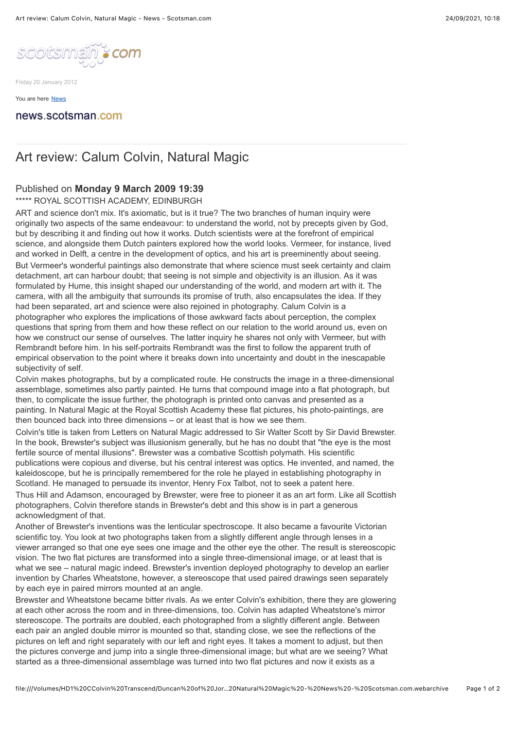

Friday 20 January 2012

[You are here](http://www.scotsman.com/news) [News](http://www.scotsman.com/news)

## news.scotsman.com

## Art review: Calum Colvin, Natural Magic

## Published on **Monday 9 March 2009 19:39**

\*\*\*\*\* ROYAL SCOTTISH ACADEMY, EDINBURGH

ART and science don't mix. It's axiomatic, but is it true? The two branches of human inquiry were originally two aspects of the same endeavour: to understand the world, not by precepts given by God, but by describing it and finding out how it works. Dutch scientists were at the forefront of empirical science, and alongside them Dutch painters explored how the world looks. Vermeer, for instance, lived and worked in Delft, a centre in the development of optics, and his art is preeminently about seeing. But Vermeer's wonderful paintings also demonstrate that where science must seek certainty and claim detachment, art can harbour doubt; that seeing is not simple and objectivity is an illusion. As it was formulated by Hume, this insight shaped our understanding of the world, and modern art with it. The camera, with all the ambiguity that surrounds its promise of truth, also encapsulates the idea. If they had been separated, art and science were also rejoined in photography. Calum Colvin is a photographer who explores the implications of those awkward facts about perception, the complex questions that spring from them and how these reflect on our relation to the world around us, even on how we construct our sense of ourselves. The latter inquiry he shares not only with Vermeer, but with Rembrandt before him. In his self-portraits Rembrandt was the first to follow the apparent truth of empirical observation to the point where it breaks down into uncertainty and doubt in the inescapable subjectivity of self.

Colvin makes photographs, but by a complicated route. He constructs the image in a three-dimensional assemblage, sometimes also partly painted. He turns that compound image into a flat photograph, but then, to complicate the issue further, the photograph is printed onto canvas and presented as a painting. In Natural Magic at the Royal Scottish Academy these flat pictures, his photo-paintings, are then bounced back into three dimensions – or at least that is how we see them.

Colvin's title is taken from Letters on Natural Magic addressed to Sir Walter Scott by Sir David Brewster. In the book. Brewster's subject was illusionism generally, but he has no doubt that "the eye is the most fertile source of mental illusions". Brewster was a combative Scottish polymath. His scientific publications were copious and diverse, but his central interest was optics. He invented, and named, the kaleidoscope, but he is principally remembered for the role he played in establishing photography in Scotland. He managed to persuade its inventor, Henry Fox Talbot, not to seek a patent here.

Thus Hill and Adamson, encouraged by Brewster, were free to pioneer it as an art form. Like all Scottish photographers, Colvin therefore stands in Brewster's debt and this show is in part a generous acknowledgment of that.

Another of Brewster's inventions was the lenticular spectroscope. It also became a favourite Victorian scientific toy. You look at two photographs taken from a slightly different angle through lenses in a viewer arranged so that one eye sees one image and the other eye the other. The result is stereoscopic vision. The two flat pictures are transformed into a single three-dimensional image, or at least that is what we see – natural magic indeed. Brewster's invention deployed photography to develop an earlier invention by Charles Wheatstone, however, a stereoscope that used paired drawings seen separately by each eye in paired mirrors mounted at an angle.

Brewster and Wheatstone became bitter rivals. As we enter Colvin's exhibition, there they are glowering at each other across the room and in three-dimensions, too. Colvin has adapted Wheatstone's mirror stereoscope. The portraits are doubled, each photographed from a slightly different angle. Between each pair an angled double mirror is mounted so that, standing close, we see the reflections of the pictures on left and right separately with our left and right eyes. It takes a moment to adjust, but then the pictures converge and jump into a single three-dimensional image; but what are we seeing? What started as a three-dimensional assemblage was turned into two flat pictures and now it exists as a